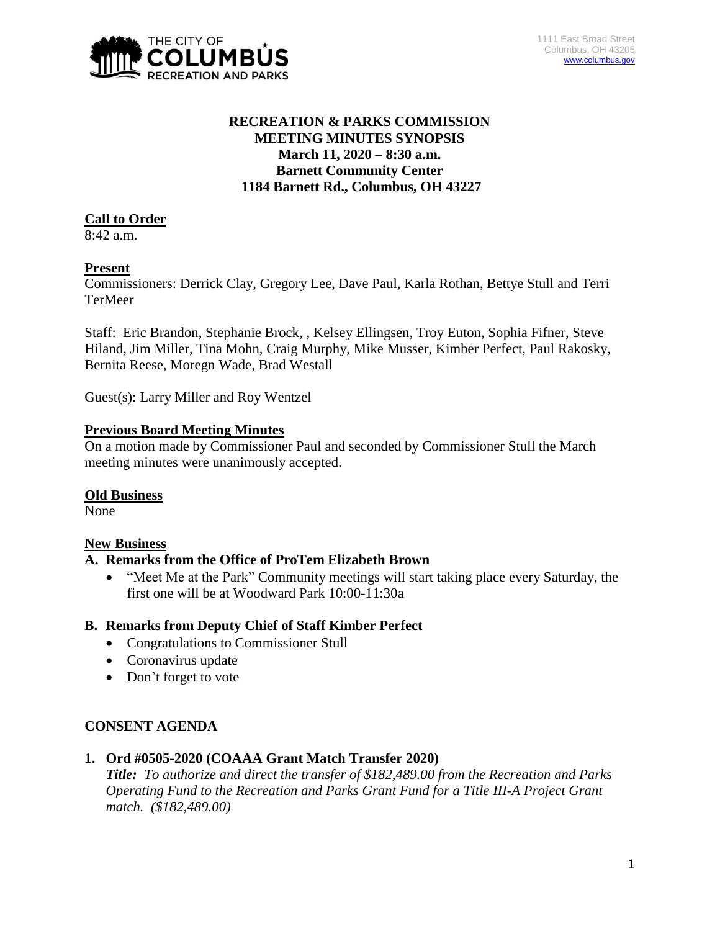

## **RECREATION & PARKS COMMISSION MEETING MINUTES SYNOPSIS March 11, 2020 – 8:30 a.m. Barnett Community Center 1184 Barnett Rd., Columbus, OH 43227**

# **Call to Order**

8:42 a.m.

## **Present**

Commissioners: Derrick Clay, Gregory Lee, Dave Paul, Karla Rothan, Bettye Stull and Terri TerMeer

Staff: Eric Brandon, Stephanie Brock, , Kelsey Ellingsen, Troy Euton, Sophia Fifner, Steve Hiland, Jim Miller, Tina Mohn, Craig Murphy, Mike Musser, Kimber Perfect, Paul Rakosky, Bernita Reese, Moregn Wade, Brad Westall

Guest(s): Larry Miller and Roy Wentzel

## **Previous Board Meeting Minutes**

On a motion made by Commissioner Paul and seconded by Commissioner Stull the March meeting minutes were unanimously accepted.

## **Old Business**

None

# **New Business**

## **A. Remarks from the Office of ProTem Elizabeth Brown**

• "Meet Me at the Park" Community meetings will start taking place every Saturday, the first one will be at Woodward Park 10:00-11:30a

# **B. Remarks from Deputy Chief of Staff Kimber Perfect**

- Congratulations to Commissioner Stull
- Coronavirus update
- Don't forget to vote

## **CONSENT AGENDA**

**1. Ord #0505-2020 (COAAA Grant Match Transfer 2020)**

*Title: To authorize and direct the transfer of \$182,489.00 from the Recreation and Parks Operating Fund to the Recreation and Parks Grant Fund for a Title III-A Project Grant match. (\$182,489.00)*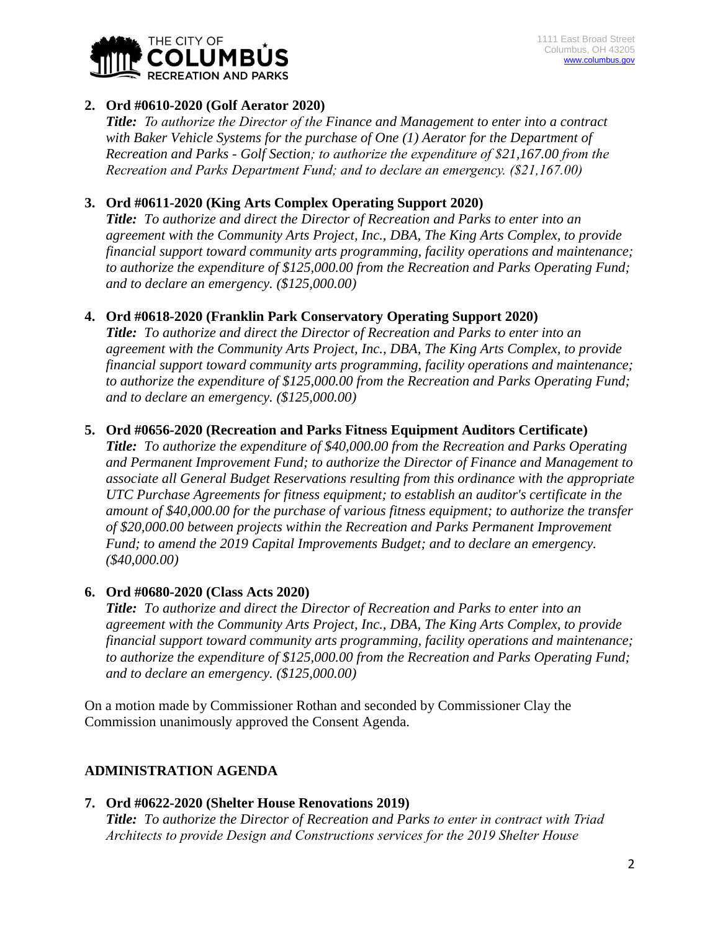

### **2. Ord #0610-2020 (Golf Aerator 2020)**

*Title: To authorize the Director of the Finance and Management to enter into a contract with Baker Vehicle Systems for the purchase of One (1) Aerator for the Department of Recreation and Parks - Golf Section; to authorize the expenditure of \$21,167.00 from the Recreation and Parks Department Fund; and to declare an emergency. (\$21,167.00)*

### **3. Ord #0611-2020 (King Arts Complex Operating Support 2020)**

*Title: To authorize and direct the Director of Recreation and Parks to enter into an agreement with the Community Arts Project, Inc., DBA, The King Arts Complex, to provide financial support toward community arts programming, facility operations and maintenance; to authorize the expenditure of \$125,000.00 from the Recreation and Parks Operating Fund; and to declare an emergency. (\$125,000.00)*

### **4. Ord #0618-2020 (Franklin Park Conservatory Operating Support 2020)**

*Title: To authorize and direct the Director of Recreation and Parks to enter into an agreement with the Community Arts Project, Inc., DBA, The King Arts Complex, to provide financial support toward community arts programming, facility operations and maintenance; to authorize the expenditure of \$125,000.00 from the Recreation and Parks Operating Fund; and to declare an emergency. (\$125,000.00)*

#### **5. Ord #0656-2020 (Recreation and Parks Fitness Equipment Auditors Certificate)**

*Title: To authorize the expenditure of \$40,000.00 from the Recreation and Parks Operating and Permanent Improvement Fund; to authorize the Director of Finance and Management to associate all General Budget Reservations resulting from this ordinance with the appropriate UTC Purchase Agreements for fitness equipment; to establish an auditor's certificate in the amount of \$40,000.00 for the purchase of various fitness equipment; to authorize the transfer of \$20,000.00 between projects within the Recreation and Parks Permanent Improvement Fund; to amend the 2019 Capital Improvements Budget; and to declare an emergency. (\$40,000.00)*

#### **6. Ord #0680-2020 (Class Acts 2020)**

*Title: To authorize and direct the Director of Recreation and Parks to enter into an agreement with the Community Arts Project, Inc., DBA, The King Arts Complex, to provide financial support toward community arts programming, facility operations and maintenance; to authorize the expenditure of \$125,000.00 from the Recreation and Parks Operating Fund; and to declare an emergency. (\$125,000.00)*

On a motion made by Commissioner Rothan and seconded by Commissioner Clay the Commission unanimously approved the Consent Agenda.

#### **ADMINISTRATION AGENDA**

#### **7. Ord #0622-2020 (Shelter House Renovations 2019)**

*Title: To authorize the Director of Recreation and Parks to enter in contract with Triad Architects to provide Design and Constructions services for the 2019 Shelter House*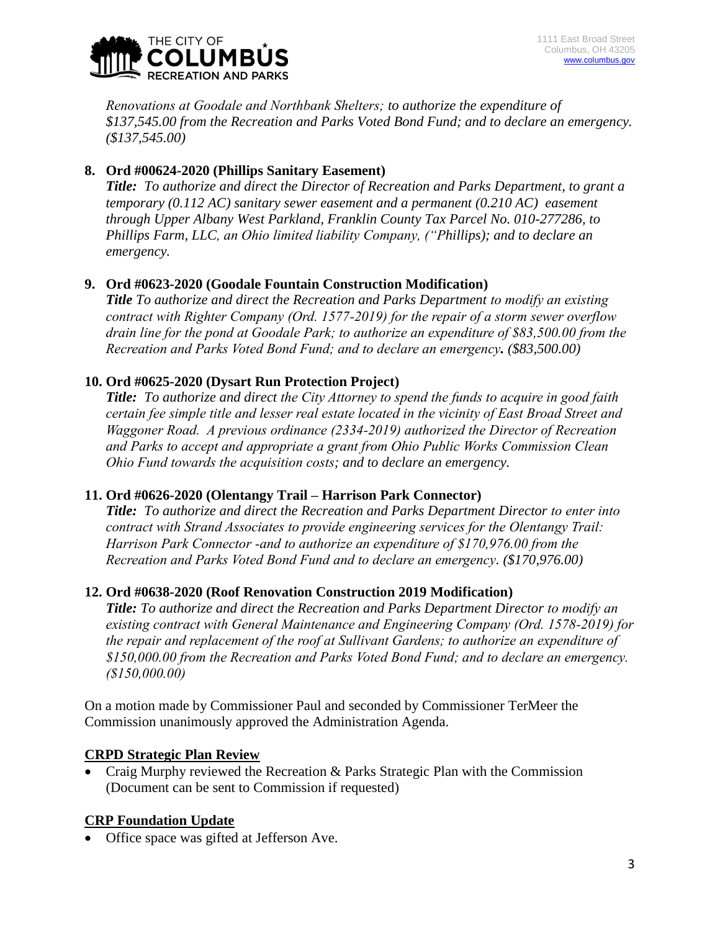

*Renovations at Goodale and Northbank Shelters; to authorize the expenditure of \$137,545.00 from the Recreation and Parks Voted Bond Fund; and to declare an emergency. (\$137,545.00)*

## **8. Ord #00624-2020 (Phillips Sanitary Easement)**

*Title: To authorize and direct the Director of Recreation and Parks Department, to grant a temporary (0.112 AC) sanitary sewer easement and a permanent (0.210 AC) easement through Upper Albany West Parkland, Franklin County Tax Parcel No. 010-277286, to Phillips Farm, LLC, an Ohio limited liability Company, ("Phillips); and to declare an emergency.*

## **9. Ord #0623-2020 (Goodale Fountain Construction Modification)**

*Title To authorize and direct the Recreation and Parks Department to modify an existing contract with Righter Company (Ord. 1577-2019) for the repair of a storm sewer overflow drain line for the pond at Goodale Park; to authorize an expenditure of \$83,500.00 from the Recreation and Parks Voted Bond Fund; and to declare an emergency. (\$83,500.00)*

## **10. Ord #0625-2020 (Dysart Run Protection Project)**

*Title: To authorize and direct the City Attorney to spend the funds to acquire in good faith certain fee simple title and lesser real estate located in the vicinity of East Broad Street and Waggoner Road. A previous ordinance (2334-2019) authorized the Director of Recreation and Parks to accept and appropriate a grant from Ohio Public Works Commission Clean Ohio Fund towards the acquisition costs; and to declare an emergency.*

## **11. Ord #0626-2020 (Olentangy Trail – Harrison Park Connector)**

*Title: To authorize and direct the Recreation and Parks Department Director to enter into contract with Strand Associates to provide engineering services for the Olentangy Trail: Harrison Park Connector -and to authorize an expenditure of \$170,976.00 from the Recreation and Parks Voted Bond Fund and to declare an emergency. (\$170,976.00)*

## **12. Ord #0638-2020 (Roof Renovation Construction 2019 Modification)**

*Title: To authorize and direct the Recreation and Parks Department Director to modify an existing contract with General Maintenance and Engineering Company (Ord. 1578-2019) for the repair and replacement of the roof at Sullivant Gardens; to authorize an expenditure of \$150,000.00 from the Recreation and Parks Voted Bond Fund; and to declare an emergency. (\$150,000.00)*

On a motion made by Commissioner Paul and seconded by Commissioner TerMeer the Commission unanimously approved the Administration Agenda.

#### **CRPD Strategic Plan Review**

 Craig Murphy reviewed the Recreation & Parks Strategic Plan with the Commission (Document can be sent to Commission if requested)

#### **CRP Foundation Update**

Office space was gifted at Jefferson Ave.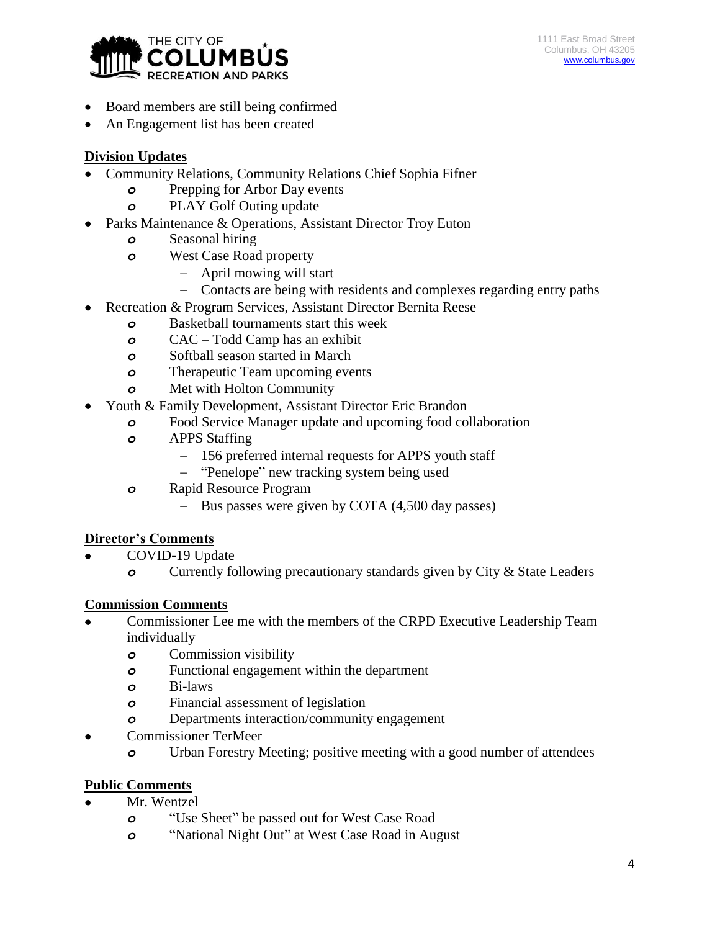

- Board members are still being confirmed
- An Engagement list has been created

## **Division Updates**

- Community Relations, Community Relations Chief Sophia Fifner
	- *o* Prepping for Arbor Day events
	- *o* PLAY Golf Outing update
- Parks Maintenance & Operations, Assistant Director Troy Euton
	- *o* Seasonal hiring
	- *o* West Case Road property
		- April mowing will start
		- Contacts are being with residents and complexes regarding entry paths
	- Recreation & Program Services, Assistant Director Bernita Reese
		- *o* Basketball tournaments start this week
		- *o* CAC Todd Camp has an exhibit
		- *o* Softball season started in March
		- *o* Therapeutic Team upcoming events
		- *o* Met with Holton Community
- Youth & Family Development, Assistant Director Eric Brandon
	- *o* Food Service Manager update and upcoming food collaboration
	- *o* APPS Staffing
		- 156 preferred internal requests for APPS youth staff
		- "Penelope" new tracking system being used
	- *o* Rapid Resource Program
		- Bus passes were given by COTA  $(4,500)$  day passes)

# **Director's Comments**

- COVID-19 Update
	- *o* Currently following precautionary standards given by City & State Leaders

## **Commission Comments**

- Commissioner Lee me with the members of the CRPD Executive Leadership Team individually
	- *o* Commission visibility
	- *o* Functional engagement within the department
	- *o* Bi-laws
	- *o* Financial assessment of legislation
	- *o* Departments interaction/community engagement
- Commissioner TerMeer
	- *o* Urban Forestry Meeting; positive meeting with a good number of attendees

## **Public Comments**

- Mr. Wentzel
	- *o* "Use Sheet" be passed out for West Case Road
	- *o* "National Night Out" at West Case Road in August